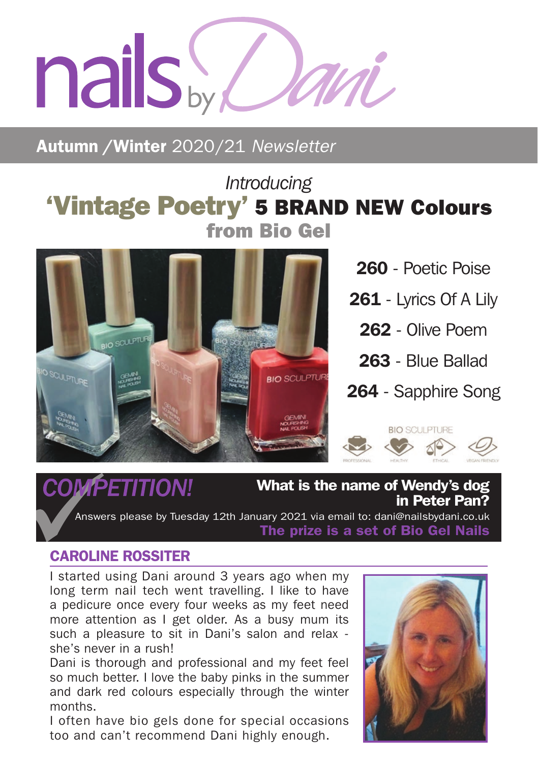# nails by d

Autumn /Winter 2020/21 *Newsletter*

# *Introducing* 'Vintage Poetry' 5 BRAND NEW Colours from Bio Gel



260 - Poetic Poise

- 261 Lyrics Of A Lily
	- 262 Olive Poem
	- 263 Blue Ballad
- 264 Sapphire Song

**BIO SCULPTURE** 



 $\mathcal{COM}\widehat{PET}$   $\mathcal{I}$   $\mathcal{I}$   $\mathcal{I}$   $\mathcal{I}$   $\mathcal{I}$   $\mathcal{I}$   $\mathcal{I}$   $\mathcal{I}$   $\mathcal{I}$   $\mathcal{I}$   $\mathcal{I}$   $\mathcal{I}$   $\mathcal{I}$   $\mathcal{I}$   $\mathcal{I}$   $\mathcal{I}$   $\mathcal{I}$   $\mathcal{I}$   $\mathcal{I}$   $\mathcal{I}$   $\mathcal{I}$   $\mathcal{I}$   $\mathcal{I}$ in Peter Pan?

Answers please by Tuesday 12th January 2021 via email to: dani@nailsbydani.co.uk The prize is a set of Bio Gel Nails

### CAROLINE ROSSITER

I started using Dani around 3 years ago when my long term nail tech went travelling. I like to have a pedicure once every four weeks as my feet need more attention as I get older. As a busy mum its such a pleasure to sit in Dani's salon and relax she's never in a rush!

Dani is thorough and professional and my feet feel so much better. I love the baby pinks in the summer and dark red colours especially through the winter months.

I often have bio gels done for special occasions too and can't recommend Dani highly enough.